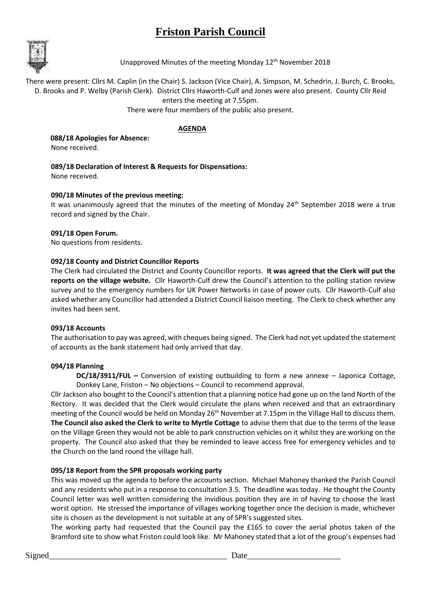# **Friston Parish Council**



Unapproved Minutes of the meeting Monday 12<sup>th</sup> November 2018

There were present: Cllrs M. Caplin (in the Chair) S. Jackson (Vice Chair), A. Simpson, M. Schedrin, J. Burch, C. Brooks, D. Brooks and P. Welby (Parish Clerk). District Cllrs Haworth-Culf and Jones were also present. County Cllr Reid enters the meeting at 7.55pm.

There were four members of the public also present.

# **AGENDA**

 **088/18 Apologies for Absence:** None received.

# **089/18 Declaration of Interest & Requests for Dispensations:**

None received.

# **090/18 Minutes of the previous meeting:**

It was unanimously agreed that the minutes of the meeting of Monday 24<sup>th</sup> September 2018 were a true record and signed by the Chair.

# **091/18 Open Forum.**

No questions from residents.

# **092/18 County and District Councillor Reports**

The Clerk had circulated the District and County Councillor reports. **It was agreed that the Clerk will put the reports on the village website.** Cllr Haworth-Culf drew the Council's attention to the polling station review survey and to the emergency numbers for UK Power Networks in case of power cuts. Cllr Haworth-Culf also asked whether any Councillor had attended a District Council liaison meeting. The Clerk to check whether any invites had been sent.

# **093/18 Accounts**

The authorisation to pay was agreed, with cheques being signed. The Clerk had not yet updated the statement of accounts as the bank statement had only arrived that day.

# **094/18 Planning**

**DC/18/3911/FUL –** Conversion of existing outbuilding to form a new annexe – Japonica Cottage, Donkey Lane, Friston – No objections – Council to recommend approval.

Cllr Jackson also bought to the Council's attention that a planning notice had gone up on the land North of the Rectory. It was decided that the Clerk would circulate the plans when received and that an extraordinary meeting of the Council would be held on Monday 26<sup>th</sup> November at 7.15pm in the Village Hall to discuss them. **The Council also asked the Clerk to write to Myrtle Cottage** to advise them that due to the terms of the lease on the Village Green they would not be able to park construction vehicles on it whilst they are working on the property. The Council also asked that they be reminded to leave access free for emergency vehicles and to the Church on the land round the village hall.

# **095/18 Report from the SPR proposals working party**

This was moved up the agenda to before the accounts section. Michael Mahoney thanked the Parish Council and any residents who put in a response to consultation 3.5. The deadline was today. He thought the County Council letter was well written considering the invidious position they are in of having to choose the least worst option. He stressed the importance of villages working together once the decision is made, whichever site is chosen as the development is not suitable at any of SPR's suggested sites.

The working party had requested that the Council pay the £165 to cover the aerial photos taken of the Bramford site to show what Friston could look like. Mr Mahoney stated that a lot of the group's expenses had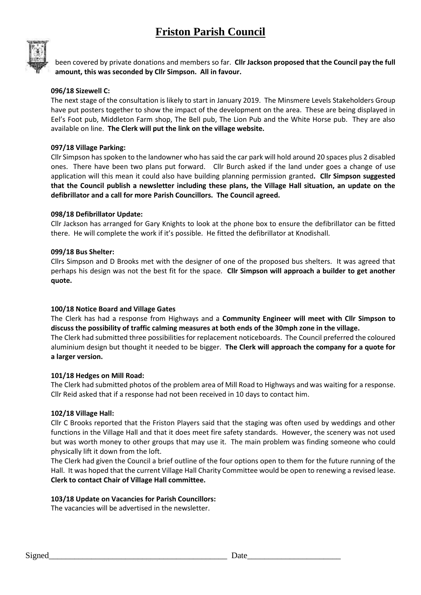# **Friston Parish Council**



been covered by private donations and members so far. **Cllr Jackson proposed that the Council pay the full amount, this was seconded by Cllr Simpson. All in favour.**

# **096/18 Sizewell C:**

The next stage of the consultation is likely to start in January 2019. The Minsmere Levels Stakeholders Group have put posters together to show the impact of the development on the area. These are being displayed in Eel's Foot pub, Middleton Farm shop, The Bell pub, The Lion Pub and the White Horse pub. They are also available on line. **The Clerk will put the link on the village website.**

## **097/18 Village Parking:**

Cllr Simpson has spoken to the landowner who has said the car park will hold around 20 spaces plus 2 disabled ones. There have been two plans put forward. Cllr Burch asked if the land under goes a change of use application will this mean it could also have building planning permission granted**. Cllr Simpson suggested that the Council publish a newsletter including these plans, the Village Hall situation, an update on the defibrillator and a call for more Parish Councillors. The Council agreed.**

## **098/18 Defibrillator Update:**

Cllr Jackson has arranged for Gary Knights to look at the phone box to ensure the defibrillator can be fitted there. He will complete the work if it's possible. He fitted the defibrillator at Knodishall.

### **099/18 Bus Shelter:**

Cllrs Simpson and D Brooks met with the designer of one of the proposed bus shelters. It was agreed that perhaps his design was not the best fit for the space. **Cllr Simpson will approach a builder to get another quote.**

### **100/18 Notice Board and Village Gates**

The Clerk has had a response from Highways and a **Community Engineer will meet with Cllr Simpson to discuss the possibility of traffic calming measures at both ends of the 30mph zone in the village.** The Clerk had submitted three possibilities for replacement noticeboards. The Council preferred the coloured aluminium design but thought it needed to be bigger. **The Clerk will approach the company for a quote for a larger version.**

### **101/18 Hedges on Mill Road:**

The Clerk had submitted photos of the problem area of Mill Road to Highways and was waiting for a response. Cllr Reid asked that if a response had not been received in 10 days to contact him.

### **102/18 Village Hall:**

Cllr C Brooks reported that the Friston Players said that the staging was often used by weddings and other functions in the Village Hall and that it does meet fire safety standards. However, the scenery was not used but was worth money to other groups that may use it. The main problem was finding someone who could physically lift it down from the loft.

The Clerk had given the Council a brief outline of the four options open to them for the future running of the Hall. It was hoped that the current Village Hall Charity Committee would be open to renewing a revised lease. **Clerk to contact Chair of Village Hall committee.**

### **103/18 Update on Vacancies for Parish Councillors:**

The vacancies will be advertised in the newsletter.